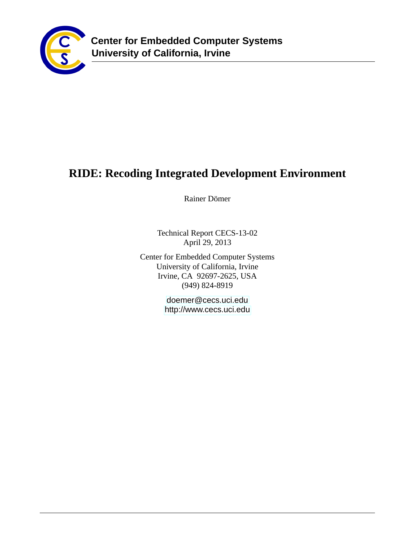

# **RIDE: Recoding Integrated Development Environment**

Rainer Dömer

Technical Report CECS-13-02 April 29, 2013

Center for Embedded Computer Systems University of California, Irvine Irvine, CA 92697-2625, USA (949) 824-8919

> <doemer@cecs.uci.edu> <http://www.cecs.uci.edu>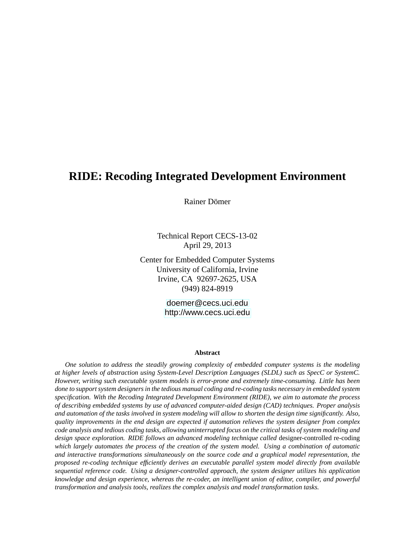## **RIDE: Recoding Integrated Development Environment**

Rainer Dömer

Technical Report CECS-13-02 April 29, 2013

Center for Embedded Computer Systems University of California, Irvine Irvine, CA 92697-2625, USA (949) 824-8919

> <doemer@cecs.uci.edu> <http://www.cecs.uci.edu>

#### **Abstract**

*One solution to address the steadily growing complexity of embedded computer systems is the modeling at higher levels of abstraction using System-Level Description Languages (SLDL) such as SpecC or SystemC. However, writing such executable system models is error-prone and extremely time-consuming. Little has been done to support system designers in the tedious manual coding and re-coding tasks necessary in embedded system specification. With the Recoding Integrated Development Environment (RIDE), we aim to automate the process of describing embedded systems by use of advanced computer-aided design (CAD) techniques. Proper analysis and automation of the tasks involved in system modeling will allow to shorten the design time significantly. Also, quality improvements in the end design are expected if automation relieves the system designer from complex code analysis and tedious coding tasks, allowing uninterrupted focus on the critical tasks of system modeling and design space exploration. RIDE follows an advanced modeling technique called* designer-controlled re-coding *which largely automates the process of the creation of the system model. Using a combination of automatic and interactive transformations simultaneously on the source code and a graphical model representation, the proposed re-coding technique efficiently derives an executable parallel system model directly from available sequential reference code. Using a designer-controlled approach, the system designer utilizes his application knowledge and design experience, whereas the re-coder, an intelligent union of editor, compiler, and powerful transformation and analysis tools, realizes the complex analysis and model transformation tasks.*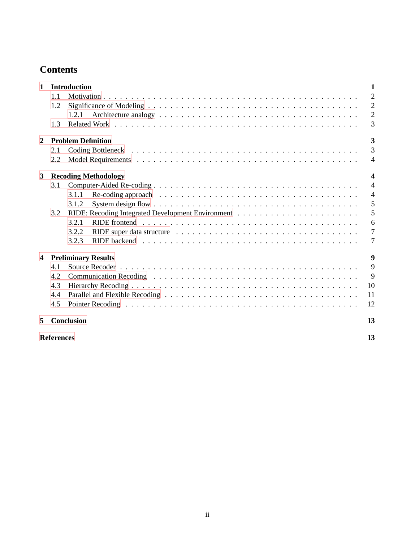## **Contents**

| $\mathbf{1}$            |                         | <b>Introduction</b>                                                                                                     | 1                       |  |  |  |
|-------------------------|-------------------------|-------------------------------------------------------------------------------------------------------------------------|-------------------------|--|--|--|
|                         | 1.1                     |                                                                                                                         | $\overline{2}$          |  |  |  |
|                         | 1.2                     |                                                                                                                         | 2                       |  |  |  |
|                         |                         | 1.2.1                                                                                                                   | $\overline{2}$          |  |  |  |
|                         | 1.3                     |                                                                                                                         | 3                       |  |  |  |
| 2                       |                         | <b>Problem Definition</b>                                                                                               | $\overline{\mathbf{3}}$ |  |  |  |
|                         | 2.1                     |                                                                                                                         | 3                       |  |  |  |
|                         | 2.2                     |                                                                                                                         | $\overline{4}$          |  |  |  |
| $\mathbf{3}$            |                         | <b>Recoding Methodology</b>                                                                                             | $\boldsymbol{4}$        |  |  |  |
|                         | 3.1                     |                                                                                                                         | $\overline{4}$          |  |  |  |
|                         |                         | 3.1.1                                                                                                                   | $\overline{4}$          |  |  |  |
|                         |                         | System design flow $\dots \dots \dots \dots \dots \dots \dots \dots \dots \dots \dots \dots \dots \dots \dots$<br>3.1.2 | 5                       |  |  |  |
|                         | 3.2                     |                                                                                                                         | 5                       |  |  |  |
|                         |                         | 3.2.1                                                                                                                   | 6                       |  |  |  |
|                         |                         | 3.2.2                                                                                                                   | $7\phantom{.0}$         |  |  |  |
|                         |                         | 3.2.3                                                                                                                   | 7                       |  |  |  |
| $\overline{\mathbf{4}}$ |                         | <b>Preliminary Results</b>                                                                                              | 9                       |  |  |  |
|                         | 4.1                     |                                                                                                                         | 9                       |  |  |  |
|                         | 4.2                     |                                                                                                                         | 9                       |  |  |  |
|                         | 4.3                     |                                                                                                                         | 10                      |  |  |  |
|                         | 4.4                     |                                                                                                                         | 11                      |  |  |  |
|                         | 4.5                     |                                                                                                                         | 12                      |  |  |  |
| 5                       |                         | <b>Conclusion</b>                                                                                                       | 13                      |  |  |  |
|                         | <b>References</b><br>13 |                                                                                                                         |                         |  |  |  |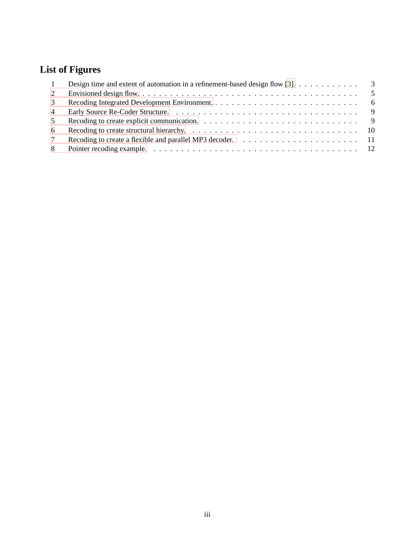## **List of Figures**

| $\overline{1}$ | Design time and extent of automation in a refinement-based design flow [3]. $\dots \dots \dots$                    |  |
|----------------|--------------------------------------------------------------------------------------------------------------------|--|
| 2              |                                                                                                                    |  |
| 3              |                                                                                                                    |  |
| $\overline{4}$ |                                                                                                                    |  |
| 5              | Recoding to create explicit communication. $\ldots \ldots \ldots \ldots \ldots \ldots \ldots \ldots \ldots \ldots$ |  |
| -6             |                                                                                                                    |  |
|                |                                                                                                                    |  |
| 8              |                                                                                                                    |  |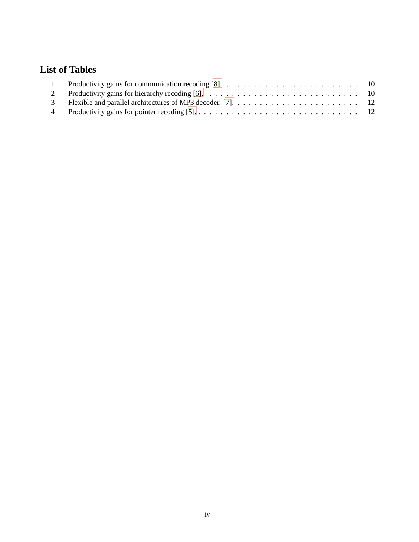## **List of Tables**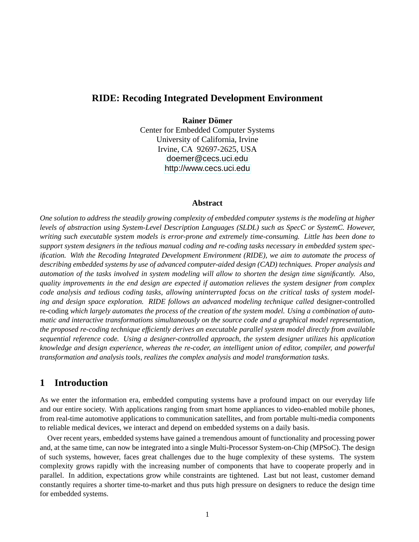### **RIDE: Recoding Integrated Development Environment**

#### **Rainer Dömer**

Center for Embedded Computer Systems University of California, Irvine Irvine, CA 92697-2625, USA <doemer@cecs.uci.edu> <http://www.cecs.uci.edu>

#### **Abstract**

*One solution to address the steadily growing complexity of embedded computer systems is the modeling at higher levels of abstraction using System-Level Description Languages (SLDL) such as SpecC or SystemC. However, writing such executable system models is error-prone and extremely time-consuming. Little has been done to support system designers in the tedious manual coding and re-coding tasks necessary in embedded system specification. With the Recoding Integrated Development Environment (RIDE), we aim to automate the process of describing embedded systems by use of advanced computer-aided design (CAD) techniques. Proper analysis and automation of the tasks involved in system modeling will allow to shorten the design time significantly. Also, quality improvements in the end design are expected if automation relieves the system designer from complex code analysis and tedious coding tasks, allowing uninterrupted focus on the critical tasks of system modeling and design space exploration. RIDE follows an advanced modeling technique called* designer-controlled re-coding *which largely automates the process of the creation of the system model. Using a combination of automatic and interactive transformations simultaneously on the source code and a graphical model representation, the proposed re-coding technique efficiently derives an executable parallel system model directly from available sequential reference code. Using a designer-controlled approach, the system designer utilizes his application knowledge and design experience, whereas the re-coder, an intelligent union of editor, compiler, and powerful transformation and analysis tools, realizes the complex analysis and model transformation tasks.*

### <span id="page-5-0"></span>**1 Introduction**

As we enter the information era, embedded computing systems have a profound impact on our everyday life and our entire society. With applications ranging from smart home appliances to video-enabled mobile phones, from real-time automotive applications to communication satellites, and from portable multi-media components to reliable medical devices, we interact and depend on embedded systems on a daily basis.

Over recent years, embedded systems have gained a tremendous amount of functionality and processing power and, at the same time, can now be integrated into a single Multi-Processor System-on-Chip (MPSoC). The design of such systems, however, faces great challenges due to the huge complexity of these systems. The system complexity grows rapidly with the increasing number of components that have to cooperate properly and in parallel. In addition, expectations grow while constraints are tightened. Last but not least, customer demand constantly requires a shorter time-to-market and thus puts high pressure on designers to reduce the design time for embedded systems.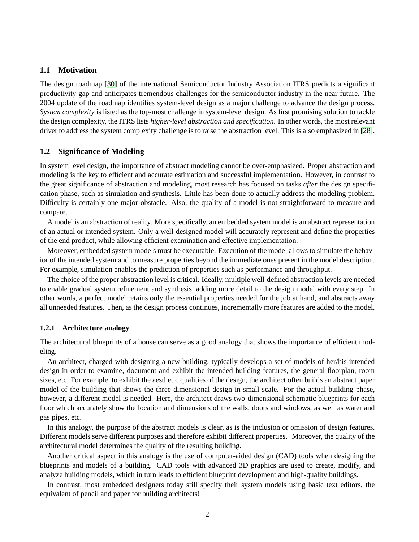#### <span id="page-6-0"></span>**1.1 Motivation**

The design roadmap [\[30\]](#page-19-0) of the international Semiconductor Industry Association ITRS predicts a significant productivity gap and anticipates tremendous challenges for the semiconductor industry in the near future. The 2004 update of the roadmap identifies system-level design as a major challenge to advance the design process. *System complexity* is listed as the top-most challenge in system-level design. As first promising solution to tackle the design complexity, the ITRS lists *higher-level abstraction and specification*. In other words, the most relevant driver to address the system complexity challenge is to raise the abstraction level. This is also emphasized in [\[28\]](#page-19-1).

#### <span id="page-6-1"></span>**1.2 Significance of Modeling**

In system level design, the importance of abstract modeling cannot be over-emphasized. Proper abstraction and modeling is the key to efficient and accurate estimation and successful implementation. However, in contrast to the great significance of abstraction and modeling, most research has focused on tasks *after* the design specification phase, such as simulation and synthesis. Little has been done to actually address the modeling problem. Difficulty is certainly one major obstacle. Also, the quality of a model is not straightforward to measure and compare.

A model is an abstraction of reality. More specifically, an embedded system model is an abstract representation of an actual or intended system. Only a well-designed model will accurately represent and define the properties of the end product, while allowing efficient examination and effective implementation.

Moreover, embedded system models must be executable. Execution of the model allows to simulate the behavior of the intended system and to measure properties beyond the immediate ones present in the model description. For example, simulation enables the prediction of properties such as performance and throughput.

The choice of the proper abstraction level is critical. Ideally, multiple well-defined abstraction levels are needed to enable gradual system refinement and synthesis, adding more detail to the design model with every step. In other words, a perfect model retains only the essential properties needed for the job at hand, and abstracts away all unneeded features. Then, as the design process continues, incrementally more features are added to the model.

#### <span id="page-6-2"></span>**1.2.1 Architecture analogy**

The architectural blueprints of a house can serve as a good analogy that shows the importance of efficient modeling.

An architect, charged with designing a new building, typically develops a set of models of her/his intended design in order to examine, document and exhibit the intended building features, the general floorplan, room sizes, etc. For example, to exhibit the aesthetic qualities of the design, the architect often builds an abstract paper model of the building that shows the three-dimensional design in small scale. For the actual building phase, however, a different model is needed. Here, the architect draws two-dimensional schematic blueprints for each floor which accurately show the location and dimensions of the walls, doors and windows, as well as water and gas pipes, etc.

In this analogy, the purpose of the abstract models is clear, as is the inclusion or omission of design features. Different models serve different purposes and therefore exhibit different properties. Moreover, the quality of the architectural model determines the quality of the resulting building.

Another critical aspect in this analogy is the use of computer-aided design (CAD) tools when designing the blueprints and models of a building. CAD tools with advanced 3D graphics are used to create, modify, and analyze building models, which in turn leads to efficient blueprint development and high-quality buildings.

In contrast, most embedded designers today still specify their system models using basic text editors, the equivalent of pencil and paper for building architects!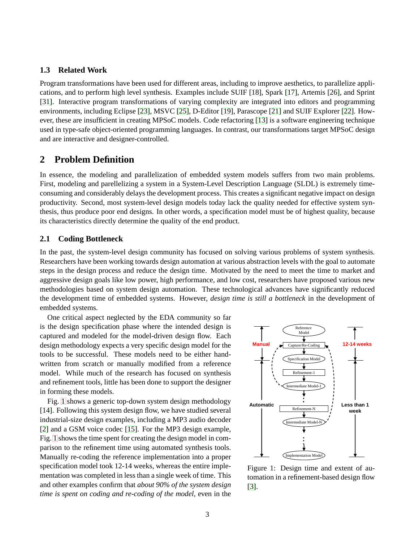#### <span id="page-7-0"></span>**1.3 Related Work**

Program transformations have been used for different areas, including to improve aesthetics, to parallelize applications, and to perform high level synthesis. Examples include SUIF [\[18\]](#page-18-3), Spark [\[17\]](#page-18-4), Artemis [\[26\]](#page-19-2), and Sprint [\[31\]](#page-19-3). Interactive program transformations of varying complexity are integrated into editors and programming environments, including Eclipse [\[23\]](#page-19-4), MSVC [\[25\]](#page-19-5), D-Editor [\[19\]](#page-18-5), Parascope [\[21\]](#page-19-6) and SUIF Explorer [\[22\]](#page-19-7). However, these are insufficient in creating MPSoC models. Code refactoring [\[13\]](#page-18-6) is a software engineering technique used in type-safe object-oriented programming languages. In contrast, our transformations target MPSoC design and are interactive and designer-controlled.

### <span id="page-7-1"></span>**2 Problem Definition**

In essence, the modeling and parallelization of embedded system models suffers from two main problems. First, modeling and parellelizing a system in a System-Level Description Language (SLDL) is extremely timeconsuming and considerably delays the development process. This creates a significant negative impact on design productivity. Second, most system-level design models today lack the quality needed for effective system synthesis, thus produce poor end designs. In other words, a specification model must be of highest quality, because its characteristics directly determine the quality of the end product.

#### <span id="page-7-2"></span>**2.1 Coding Bottleneck**

In the past, the system-level design community has focused on solving various problems of system synthesis. Researchers have been working towards design automation at various abstraction levels with the goal to automate steps in the design process and reduce the design time. Motivated by the need to meet the time to market and aggressive design goals like low power, high performance, and low cost, researchers have proposed various new methodologies based on system design automation. These technological advances have significantly reduced the development time of embedded systems. However, *design time is still a bottleneck* in the development of embedded systems.

One critical aspect neglected by the EDA community so far is the design specification phase where the intended design is captured and modeled for the model-driven design flow. Each design methodology expects a very specific design model for the tools to be successful. These models need to be either handwritten from scratch or manually modified from a reference model. While much of the research has focused on synthesis and refinement tools, little has been done to support the designer in forming these models.

Fig. [1](#page-7-3) shows a generic top-down system design methodology [\[14\]](#page-18-7). Following this system design flow, we have studied several industrial-size design examples, including a MP3 audio decoder [\[2\]](#page-17-4) and a GSM voice codec [\[15\]](#page-18-8). For the MP3 design example, Fig. [1](#page-7-3) shows the time spent for creating the design model in comparison to the refinement time using automated synthesis tools. Manually re-coding the reference implementation into a proper specification model took 12-14 weeks, whereas the entire implementation was completed in less than a single week of time. This and other examples confirm that *about 90% of the system design time is spent on coding and re-coding of the model*, even in the



<span id="page-7-3"></span>Figure 1: Design time and extent of automation in a refinement-based design flow [\[3\]](#page-17-2).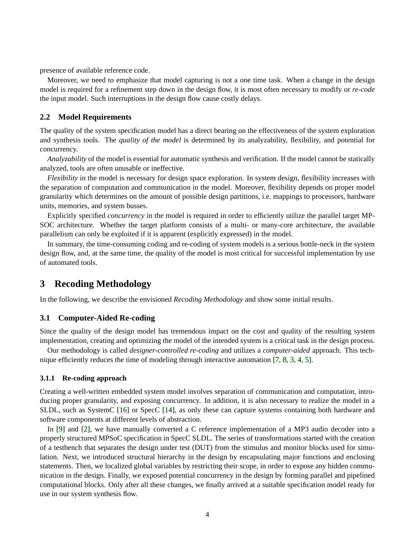presence of available reference code.

Moreover, we need to emphasize that model capturing is not a one time task. When a change in the design model is required for a refinement step down in the design flow, it is most often necessary to modify or *re-code* the input model. Such interruptions in the design flow cause costly delays.

#### <span id="page-8-0"></span>**2.2 Model Requirements**

The quality of the system specification model has a direct bearing on the effectiveness of the system exploration and synthesis tools. The *quality of the model* is determined by its analyzability, flexibility, and potential for concurrency.

*Analyzability* of the model is essential for automatic synthesis and verification. If the model cannot be statically analyzed, tools are often unusable or ineffective.

*Flexibility* in the model is necessary for design space exploration. In system design, flexibility increases with the separation of computation and communication in the model. Moreover, flexibility depends on proper model granularity which determines on the amount of possible design partitions, i.e. mappings to processors, hardware units, memories, and system busses.

Explicitly specified *concurrency* in the model is required in order to efficiently utilize the parallel target MP-SOC architecture. Whether the target platform consists of a multi- or many-core architecture, the available parallelism can only be exploited if it is apparent (explicitly expressed) in the model.

In summary, the time-consuming coding and re-coding of system models is a serious bottle-neck in the system design flow, and, at the same time, the quality of the model is most critical for successful implementation by use of automated tools.

## <span id="page-8-1"></span>**3 Recoding Methodology**

In the following, we describe the envisioned *Recoding Methodology* and show some initial results.

#### <span id="page-8-2"></span>**3.1 Computer-Aided Re-coding**

Since the quality of the design model has tremendous impact on the cost and quality of the resulting system implementation, creating and optimizing the model of the intended system is a critical task in the design process.

Our methodology is called *designer-controlled re-coding* and utilizes a *computer-aided* approach. This technique efficiently reduces the time of modeling through interactive automation [\[7,](#page-18-2) [8,](#page-18-0) [3,](#page-17-2) [4,](#page-17-5) [5\]](#page-17-3).

#### <span id="page-8-3"></span>**3.1.1 Re-coding approach**

Creating a well-written embedded system model involves separation of communication and computation, introducing proper granularity, and exposing concurrency. In addition, it is also necessary to realize the model in a SLDL, such as SystemC [\[16\]](#page-18-9) or SpecC [\[14\]](#page-18-7), as only these can capture systems containing both hardware and software components at different levels of abstraction.

In [\[9\]](#page-18-10) and [\[2\]](#page-17-4), we have manually converted a C reference implementation of a MP3 audio decoder into a properly structured MPSoC specification in SpecC SLDL. The series of transformations started with the creation of a testbench that separates the design under test (DUT) from the stimulus and monitor blocks used for simulation. Next, we introduced structural hierarchy in the design by encapsulating major functions and enclosing statements. Then, we localized global variables by restricting their scope, in order to expose any hidden communication in the design. Finally, we exposed potential concurrency in the design by forming parallel and pipelined computational blocks. Only after all these changes, we finally arrived at a suitable specification model ready for use in our system synthesis flow.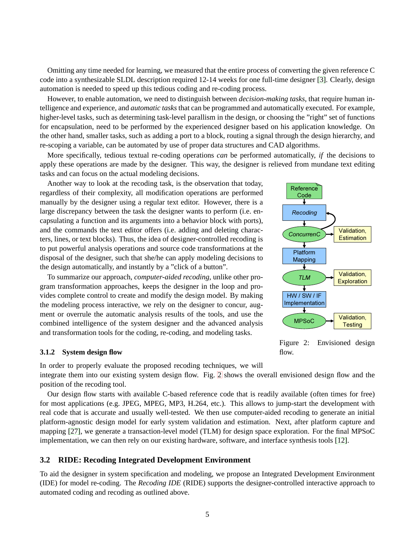Omitting any time needed for learning, we measured that the entire process of converting the given reference C code into a synthesizable SLDL description required 12-14 weeks for one full-time designer [\[3\]](#page-17-2). Clearly, design automation is needed to speed up this tedious coding and re-coding process.

However, to enable automation, we need to distinguish between *decision-making tasks*, that require human intelligence and experience, and *automatic tasks* that can be programmed and automatically executed. For example, higher-level tasks, such as determining task-level parallism in the design, or choosing the "right" set of functions for encapsulation, need to be performed by the experienced designer based on his application knowledge. On the other hand, smaller tasks, such as adding a port to a block, routing a signal through the design hierarchy, and re-scoping a variable, can be automated by use of proper data structures and CAD algorithms.

More specifically, tedious textual re-coding operations *can* be performed automatically, *if* the decisions to apply these operations are made by the designer. This way, the designer is relieved from mundane text editing tasks and can focus on the actual modeling decisions.

Another way to look at the recoding task, is the observation that today, regardless of their complexity, all modification operations are performed manually by the designer using a regular text editor. However, there is a large discrepancy between the task the designer wants to perform (i.e. encapsulating a function and its arguments into a behavior block with ports), and the commands the text editor offers (i.e. adding and deleting characters, lines, or text blocks). Thus, the idea of designer-controlled recoding is to put powerful analysis operations and source code transformations at the disposal of the designer, such that she/he can apply modeling decisions to the design automatically, and instantly by a "click of a button".

To summarize our approach, *computer-aided recoding*, unlike other program transformation approaches, keeps the designer in the loop and provides complete control to create and modify the design model. By making the modeling process interactive, we rely on the designer to concur, augment or overrule the automatic analysis results of the tools, and use the combined intelligence of the system designer and the advanced analysis and transformation tools for the coding, re-coding, and modeling tasks.

#### <span id="page-9-0"></span>**3.1.2 System design flow**



<span id="page-9-2"></span>Figure 2: Envisioned design flow.

In order to properly evaluate the proposed recoding techniques, we will integrate them into our existing system design flow. Fig. [2](#page-9-2) shows the overall envisioned design flow and the position of the recoding tool.

Our design flow starts with available C-based reference code that is readily available (often times for free) for most applications (e.g. JPEG, MPEG, MP3, H.264, etc.). This allows to jump-start the development with real code that is accurate and usually well-tested. We then use computer-aided recoding to generate an initial platform-agnostic design model for early system validation and estimation. Next, after platform capture and mapping [\[27\]](#page-19-8), we generate a transaction-level model (TLM) for design space exploration. For the final MPSoC implementation, we can then rely on our existing hardware, software, and interface synthesis tools [\[12\]](#page-18-11).

#### <span id="page-9-1"></span>**3.2 RIDE: Recoding Integrated Development Environment**

To aid the designer in system specification and modeling, we propose an Integrated Development Environment (IDE) for model re-coding. The *Recoding IDE* (RIDE) supports the designer-controlled interactive approach to automated coding and recoding as outlined above.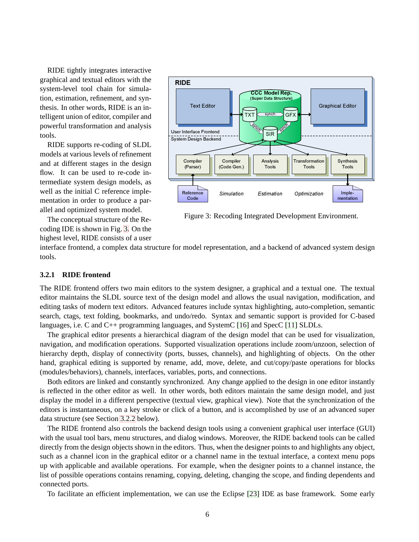RIDE tightly integrates interactive graphical and textual editors with the system-level tool chain for simulation, estimation, refinement, and synthesis. In other words, RIDE is an intelligent union of editor, compiler and powerful transformation and analysis tools.

RIDE supports re-coding of SLDL models at various levels of refinement and at different stages in the design flow. It can be used to re-code intermediate system design models, as well as the initial C reference implementation in order to produce a parallel and optimized system model.

The conceptual structure of the Recoding IDE is shown in Fig. [3.](#page-10-1) On the highest level, RIDE consists of a user



<span id="page-10-1"></span>Figure 3: Recoding Integrated Development Environment.

interface frontend, a complex data structure for model representation, and a backend of advanced system design tools.

#### <span id="page-10-0"></span>**3.2.1 RIDE frontend**

The RIDE frontend offers two main editors to the system designer, a graphical and a textual one. The textual editor maintains the SLDL source text of the design model and allows the usual navigation, modification, and editing tasks of modern text editors. Advanced features include syntax highlighting, auto-completion, semantic search, ctags, text folding, bookmarks, and undo/redo. Syntax and semantic support is provided for C-based languages, i.e. C and C++ programming languages, and SystemC [\[16\]](#page-18-9) and SpecC [\[11\]](#page-18-12) SLDLs.

The graphical editor presents a hierarchical diagram of the design model that can be used for visualization, navigation, and modification operations. Supported visualization operations include zoom/unzoon, selection of hierarchy depth, display of connectivity (ports, busses, channels), and highlighting of objects. On the other hand, graphical editing is supported by rename, add, move, delete, and cut/copy/paste operations for blocks (modules/behaviors), channels, interfaces, variables, ports, and connections.

Both editors are linked and constantly synchronized. Any change applied to the design in one editor instantly is reflected in the other editor as well. In other words, both editors maintain the same design model, and just display the model in a different perspective (textual view, graphical view). Note that the synchronization of the editors is instantaneous, on a key stroke or click of a button, and is accomplished by use of an advanced super data structure (see Section [3.2.2](#page-11-0) below).

The RIDE frontend also controls the backend design tools using a convenient graphical user interface (GUI) with the usual tool bars, menu structures, and dialog windows. Moreover, the RIDE backend tools can be called directly from the design objects shown in the editors. Thus, when the designer points to and highlights any object, such as a channel icon in the graphical editor or a channel name in the textual interface, a context menu pops up with applicable and available operations. For example, when the designer points to a channel instance, the list of possible operations contains renaming, copying, deleting, changing the scope, and finding dependents and connected ports.

To facilitate an efficient implementation, we can use the Eclipse [\[23\]](#page-19-4) IDE as base framework. Some early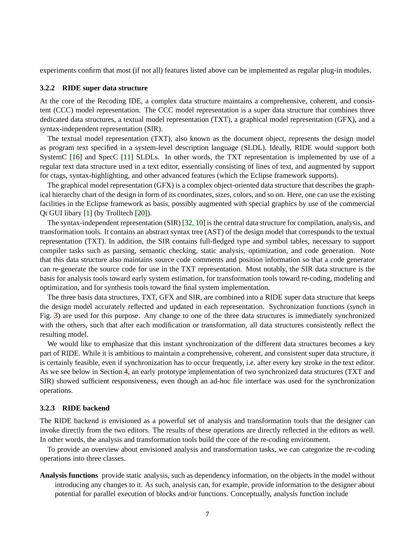<span id="page-11-0"></span>experiments confirm that most (if not all) features listed above can be implemented as regular plug-in modules.

#### **3.2.2 RIDE super data structure**

At the core of the Recoding IDE, a complex data structure maintains a comprehensive, coherent, and consistent (CCC) model representation. The CCC model representation is a super data structure that combines three dedicated data structures, a textual model representation (TXT), a graphical model representation (GFX), and a syntax-independent representation (SIR).

The textual model representation (TXT), also known as the document object, represents the design model as program text specified in a system-level description language (SLDL). Ideally, RIDE would support both SystemC [\[16\]](#page-18-9) and SpecC [\[11\]](#page-18-12) SLDLs. In other words, the TXT representation is implemented by use of a regular text data structure used in a text editor, essentially consisting of lines of text, and augmented by support for ctags, syntax-highlighting, and other advanced features (which the Eclipse framework supports).

The graphical model representation (GFX) is a complex object-oriented data structure that describes the graphical hierarchy chart of the design in form of its coordinates, sizes, colors, and so on. Here, one can use the existing facilities in the Eclipse framework as basis, possibly augmented with special graphics by use of the commercial Qt GUI libary [\[1\]](#page-17-6) (by Trolltech [\[20\]](#page-18-13)).

The syntax-independent representation (SIR) [\[32,](#page-19-9) [10\]](#page-18-14) is the central data structure for compilation, analysis, and transformation tools. It contains an abstract syntax tree (AST) of the design model that corresponds to the textual representation (TXT). In addition, the SIR contains full-fledged type and symbol tables, necessary to support compiler tasks such as parsing, semantic checking, static analysis, optimization, and code generation. Note that this data structure also maintains source code comments and position information so that a code generator can re-generate the source code for use in the TXT representation. Most notably, the SIR data structure is the basis for analysis tools toward early system estimation, for transformation tools toward re-coding, modeling and optimization, and for synthesis tools toward the final system implementation.

The three basis data structures, TXT, GFX and SIR, are combined into a RIDE super data structure that keeps the design model accurately reflected and updated in each representation. Sychronization functions (*synch* in Fig. [3\)](#page-10-1) are used for this purpose. Any change to one of the three data structures is immediately synchronized with the others, such that after each modification or transformation, all data structures consistently reflect the resulting model.

We would like to emphasize that this instant synchronization of the different data structures becomes a key part of RIDE. While it is ambitious to maintain a comprehensive, coherent, and consistent super data structure, it is certainly feasible, even if synchronization has to occur frequently, i.e. after every key stroke in the text editor. As we see below in Section [4,](#page-13-0) an early prototype implementation of two synchronized data structures (TXT and SIR) showed sufficient responsiveness, even though an ad-hoc file interface was used for the synchronization operations.

#### <span id="page-11-1"></span>**3.2.3 RIDE backend**

The RIDE backend is envisioned as a powerful set of analysis and transformation tools that the designer can invoke directly from the two editors. The results of these operations are directly reflected in the editors as well. In other words, the analysis and transformation tools build the core of the re-coding environment.

To provide an overview about envisioned analysis and transformation tasks, we can categorize the re-coding operations into three classes.

**Analysis functions** provide static analysis, such as dependency information, on the objects in the model without introducing any changes to it. As such, analysis can, for example, provide information to the designer about potential for parallel execution of blocks and/or functions. Conceptually, analysis function include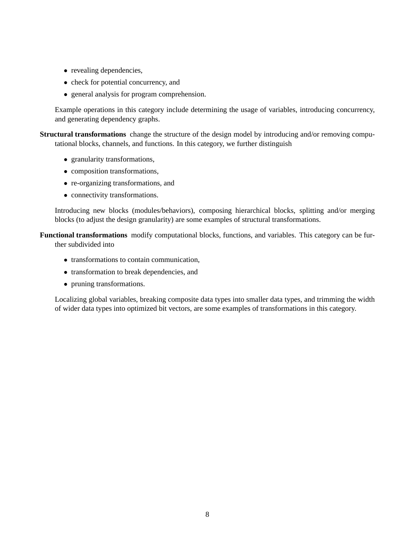- revealing dependencies,
- check for potential concurrency, and
- general analysis for program comprehension.

Example operations in this category include determining the usage of variables, introducing concurrency, and generating dependency graphs.

**Structural transformations** change the structure of the design model by introducing and/or removing computational blocks, channels, and functions. In this category, we further distinguish

- granularity transformations,
- composition transformations,
- re-organizing transformations, and
- connectivity transformations.

Introducing new blocks (modules/behaviors), composing hierarchical blocks, splitting and/or merging blocks (to adjust the design granularity) are some examples of structural transformations.

**Functional transformations** modify computational blocks, functions, and variables. This category can be further subdivided into

- transformations to contain communication,
- transformation to break dependencies, and
- pruning transformations.

Localizing global variables, breaking composite data types into smaller data types, and trimming the width of wider data types into optimized bit vectors, are some examples of transformations in this category.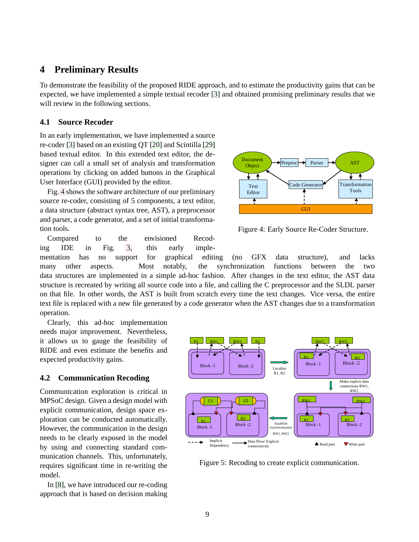### <span id="page-13-0"></span>**4 Preliminary Results**

To demonstrate the feasibility of the proposed RIDE approach, and to estimate the productivity gains that can be expected, we have implemented a simple textual recoder [\[3\]](#page-17-2) and obtained promising preliminary results that we will review in the following sections.

#### <span id="page-13-1"></span>**4.1 Source Recoder**

In an early implementation, we have implemented a source re-coder [\[3\]](#page-17-2) based on an existing QT [\[20\]](#page-18-13) and Scintilla [\[29\]](#page-19-10) based textual editor. In this extended text editor, the designer can call a small set of analysis and transformation operations by clicking on added buttons in the Graphical User Interface (GUI) provided by the editor.

Fig. [4](#page-13-3) shows the software architecture of our preliminary source re-coder, consisting of 5 components, a text editor, a data structure (abstract syntax tree, AST), a preprocessor and parser, a code generator, and a set of initial transformation tools.

Compared to the envisioned Recoding IDE in Fig. [3,](#page-10-1) this early imple-



<span id="page-13-3"></span>Figure 4: Early Source Re-Coder Structure.

mentation has no support for graphical editing (no GFX data structure), and lacks many other aspects. Most notably, the synchronization functions between the two data structures are implemented in a simple ad-hoc fashion. After changes in the text editor, the AST data structure is recreated by writing all source code into a file, and calling the C preprocessor and the SLDL parser on that file. In other words, the AST is built from scratch every time the text changes. Vice versa, the entire text file is replaced with a new file generated by a code generator when the AST changes due to a transformation operation.

Clearly, this ad-hoc implementation needs major improvement. Nevertheless, it allows us to gauge the feasibility of RIDE and even estimate the benefits and expected productivity gains.

#### <span id="page-13-2"></span>**4.2 Communication Recoding**

Communication exploration is critical in MPSoC design. Given a design model with explicit communication, design space exploration can be conducted automatically. However, the communication in the design needs to be clearly exposed in the model by using and connecting standard communication channels. This, unfortunately, requires significant time in re-writing the model.

In [\[8\]](#page-18-0), we have introduced our re-coding approach that is based on decision making



<span id="page-13-4"></span>Figure 5: Recoding to create explicit communication.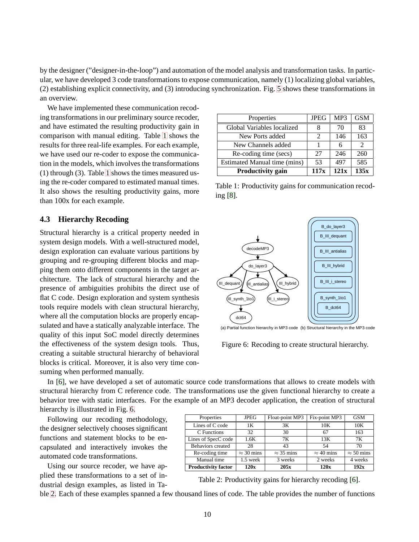by the designer ("designer-in-the-loop") and automation of the model analysis and transformation tasks. In particular, we have developed 3 code transformations to expose communication, namely (1) localizing global variables, (2) establishing explicit connectivity, and (3) introducing synchronization. Fig. [5](#page-13-4) shows these transformations in an overview.

We have implemented these communication recoding transformations in our preliminary source recoder, and have estimated the resulting productivity gain in comparison with manual editing. Table [1](#page-14-2) shows the results for three real-life examples. For each example, we have used our re-coder to expose the communication in the models, which involves the transformations (1) through (3). Table [1](#page-14-2) shows the times measured using the re-coder compared to estimated manual times. It also shows the resulting productivity gains, more than 100x for each example.

#### <span id="page-14-0"></span>**4.3 Hierarchy Recoding**

Structural hierarchy is a critical property needed in system design models. With a well-structured model, design exploration can evaluate various partitions by grouping and re-grouping different blocks and mapping them onto different components in the target architecture. The lack of structural hierarchy and the presence of ambiguities prohibits the direct use of flat C code. Design exploration and system synthesis tools require models with clean structural hierarchy, where all the computation blocks are properly encapsulated and have a statically analyzable interface. The quality of this input SoC model directly determines the effectiveness of the system design tools. Thus, creating a suitable structural hierarchy of behavioral blocks is critical. Moreover, it is also very time consuming when performed manually.

| Properties                   | <b>JPEG</b>           | MP3  | <b>GSM</b> |
|------------------------------|-----------------------|------|------------|
| Global Variables localized   | 8                     | 70   | 83         |
| New Ports added              | $\mathcal{D}_{\cdot}$ | 146  | 163        |
| New Channels added           |                       | 6    |            |
| Re-coding time (secs)        | 27                    | 246  | 260        |
| Estimated Manual time (mins) | 53                    | 497  | 585        |
| <b>Productivity gain</b>     | 117x                  | 121x | 135x       |

<span id="page-14-2"></span>Table 1: Productivity gains for communication recoding [\[8\]](#page-18-0).



(a) Partial function hierarchy in MP3 code (b) Structural hierarchy in the MP3 code

<span id="page-14-1"></span>Figure 6: Recoding to create structural hierarchy.

In [\[6\]](#page-18-1), we have developed a set of automatic source code transformations that allows to create models with structural hierarchy from C reference code. The transformations use the given functional hierarchy to create a behavior tree with static interfaces. For the example of an MP3 decoder application, the creation of structural hierarchy is illustrated in Fig. [6.](#page-14-1)

Following our recoding methodology, the designer selectively chooses significant functions and statement blocks to be encapsulated and interactively invokes the automated code transformations.

Using our source recoder, we have applied these transformations to a set of industrial design examples, as listed in Ta-

| Properties                 | <b>JPEG</b>       | Float-point MP3   | Fix-point MP3     | <b>GSM</b>        |
|----------------------------|-------------------|-------------------|-------------------|-------------------|
| Lines of C code            | 1Κ                | 3K                | 10K               | 10K               |
| C Functions                | 32                | 30                | 67                | 163               |
| Lines of SpecC code        | 1.6K              | 7Κ                | 13K               | 7Κ                |
| Behaviors created          | 28                | 43                | 54                | 70                |
| Re-coding time             | $\approx$ 30 mins | $\approx$ 35 mins | $\approx$ 40 mins | $\approx$ 50 mins |
| Manual time                | $1.5$ week        | 3 weeks           | 2 weeks           | 4 weeks           |
| <b>Productivity factor</b> | 120x              | 205x              | 120x              | 192x              |

<span id="page-14-3"></span>Table 2: Productivity gains for hierarchy recoding [\[6\]](#page-18-1).

ble [2.](#page-14-3) Each of these examples spanned a few thousand lines of code. The table provides the number of functions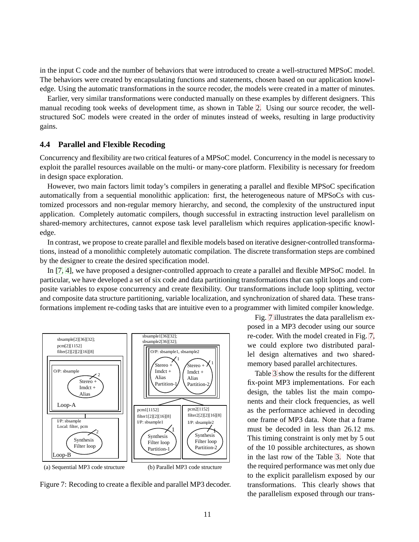in the input C code and the number of behaviors that were introduced to create a well-structured MPSoC model. The behaviors were created by encapsulating functions and statements, chosen based on our application knowledge. Using the automatic transformations in the source recoder, the models were created in a matter of minutes.

Earlier, very similar transformations were conducted manually on these examples by different designers. This manual recoding took weeks of development time, as shown in Table [2.](#page-14-3) Using our source recoder, the wellstructured SoC models were created in the order of minutes instead of weeks, resulting in large productivity gains.

#### <span id="page-15-0"></span>**4.4 Parallel and Flexible Recoding**

Concurrency and flexibility are two critical features of a MPSoC model. Concurrency in the model is necessary to exploit the parallel resources available on the multi- or many-core platform. Flexibility is necessary for freedom in design space exploration.

However, two main factors limit today's compilers in generating a parallel and flexible MPSoC specification automatically from a sequential monolithic application: first, the heterogeneous nature of MPSoCs with customized processors and non-regular memory hierarchy, and second, the complexity of the unstructured input application. Completely automatic compilers, though successful in extracting instruction level parallelism on shared-memory architectures, cannot expose task level parallelism which requires application-specific knowledge.

In contrast, we propose to create parallel and flexible models based on iterative designer-controlled transformations, instead of a monolithic completely automatic compilation. The discrete transformation steps are combined by the designer to create the desired specification model.

In [\[7,](#page-18-2) [4\]](#page-17-5), we have proposed a designer-controlled approach to create a parallel and flexible MPSoC model. In particular, we have developed a set of six code and data partitioning transformations that can split loops and composite variables to expose concurrency and create flexibility. Our transformations include loop splitting, vector and composite data structure partitioning, variable localization, and synchronization of shared data. These transformations implement re-coding tasks that are intuitive even to a programmer with limited compiler knowledge.



<span id="page-15-1"></span>Figure 7: Recoding to create a flexible and parallel MP3 decoder.

Fig. [7](#page-15-1) illustrates the data parallelism exposed in a MP3 decoder using our source re-coder. With the model created in Fig. [7,](#page-15-1) we could explore two distributed parallel design alternatives and two sharedmemory based parallel architectures.

Table [3](#page-16-2) show the results for the different fix-point MP3 implementations. For each design, the tables list the main components and their clock frequencies, as well as the performance achieved in decoding one frame of MP3 data. Note that a frame must be decoded in less than 26.12 ms. This timing constraint is only met by 5 out of the 10 possible architectures, as shown in the last row of the Table [3.](#page-16-2) Note that the required performance was met only due to the explicit parallelism exposed by our transformations. This clearly shows that the parallelism exposed through our trans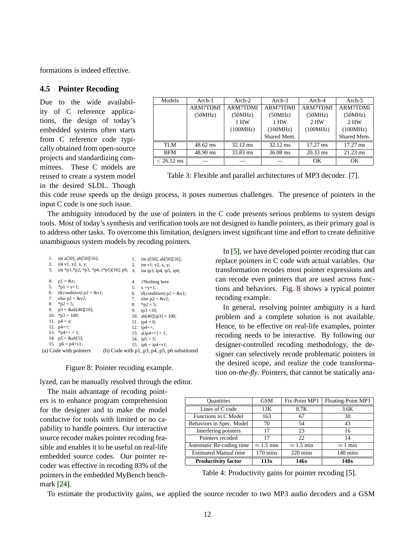<span id="page-16-0"></span>formations is indeed effective.

#### **4.5 Pointer Recoding**

Due to the wide availability of C reference applications, the design of today's embedded systems often starts from C reference code typically obtained from open-source projects and standardizing committees. These C models are reused to create a system model in the desired SLDL. Though

| Models               | $Arch-1$           | $Arch-2$           | $Arch-3$           | Arch-4             | Arch-5             |
|----------------------|--------------------|--------------------|--------------------|--------------------|--------------------|
|                      | <b>ARM7TDMI</b>    | <b>ARM7TDMI</b>    | <b>ARM7TDMI</b>    | <b>ARM7TDMI</b>    | <b>ARM7TDMI</b>    |
|                      | (50MHz)            | (50MHz)            | (50MHz)            | (50MHz)            | (50MHz)            |
|                      |                    | 1 HW               | 1 HW               | 2 HW               | 2 HW               |
|                      |                    | (100MHz)           | (100MHz)           | (100MHz)           | (100MHz)           |
|                      |                    |                    | Shared Mem.        |                    | Shared Mem.        |
| TLM                  | $48.62 \text{ ms}$ | $32.12 \text{ ms}$ | $32.12 \text{ ms}$ | $17.27 \text{ ms}$ | $17.27 \text{ ms}$ |
| <b>BFM</b>           | 48.90 ms           | 33.83 ms           | $36.08$ ms         | $20.33$ ms         | $21.23 \text{ ms}$ |
| $< 26.12 \text{ ms}$ |                    |                    |                    | OК                 | OK.                |

<span id="page-16-2"></span>Table 3: Flexible and parallel architectures of MP3 decoder. [\[7\]](#page-18-2).

this code reuse speeds up the design process, it poses numerous challenges. The presence of pointers in the input C code is one such issue.

The ambiguity introduced by the use of pointers in the C code presents serious problems to system design tools. Most of today's synthesis and verification tools are not designed to handle pointers, as their primary goal is to address other tasks. To overcome this limitation, designers invest significant time and effort to create definitive unambiguous system models by recoding pointers.

| 1.<br>2. | int a[50], ab[50][16];<br>int $v1, v2, x, y$ ;                   | 1.<br>2. | int a[50], ab $[50][16]$ ;<br>int $v1, v2, x, y$ ;         |
|----------|------------------------------------------------------------------|----------|------------------------------------------------------------|
| 3.       | int *p1,*p2, *p3, *p4, (*p5)[16], p6; 3. int ip3, ip4, ip5, ip6; |          |                                                            |
| 4.       | $p1 = \&x$ ;                                                     | 4.       | // <i>Nothing here</i>                                     |
| 5.       | $\mathrm{p1} = \mathrm{y+1}$ ;                                   | 5.       | $x = y+1$ ;                                                |
|          | 6. if (condition) $p2 = & v1$ ;                                  | 6.       | if(condition) $p2 = & v1$ ;                                |
|          | 7. else $p2 = &22$ ;                                             |          | 7. else $p2 = &22$ ;                                       |
|          | 8. $\text{*p2} = 5$ ;                                            |          | 8. $\text{*p2} = 5$ ;                                      |
|          | 9. $p3 = \&ab[40][10];$                                          |          | 9. ip3 = 10;                                               |
|          | 10. $\approx p3 = 100$ ;                                         |          | 10. $ab[40][ip3] = 100;$                                   |
|          | 11. $p4 = a$ ;                                                   |          | 11. $ip4 = 0$ ;                                            |
|          | 12. $p4++$ ;                                                     |          | 12. $ip4++$ ;                                              |
|          | 13. $\frac{1}{2}p4++=1$ ;                                        |          | 13. $a[ip4++] = 1$ ;                                       |
|          | 14. $p5 = \&ab[5]$ ;                                             |          | 14. $ip5 = 5$ ;                                            |
|          | 15. $p6 = p4 + v1$ ;                                             |          | 15. $ip6 = ip4 + v1$ ;                                     |
|          | (a) Code with pointers                                           |          | (b) Code with $p1$ , $p3$ , $p4$ , $p5$ , $p6$ substituted |

Figure 8: Pointer recoding example.

<span id="page-16-1"></span>lyzed, can be manually resolved through the editor.

The main advantage of recoding pointers is to enhance program comprehension for the designer and to make the model conducive for tools with limited or no capability to handle pointers. Our interactive source recoder makes pointer recoding feasible and enables it to be useful on real-life embedded source codes. Our pointer recoder was effective in recoding 83% of the pointers in the embedded MyBench benchmark [\[24\]](#page-19-11).

In [\[5\]](#page-17-3), we have developed pointer recoding that can replace pointers in C code with actual variables. Our transformation recodes most pointer expressions and can recode even pointers that are used across functions and behaviors. Fig. [8](#page-16-1) shows a typical pointer recoding example.

In general, resolving pointer ambiguity is a hard problem and a complete solution is not available. Hence, to be effective on real-life examples, pointer recoding needs to be interactive. By following our designer-controlled recoding methodology, the designer can selectively recode problematic pointers in the desired scope, and realize the code transformation *on-the-fly*. Pointers, that cannot be statically ana-

| <b>Quantities</b>            | <b>GSM</b>         | Fix-Point MP3      | Floating-Point MP3 |
|------------------------------|--------------------|--------------------|--------------------|
| Lines of C code              | 13K                | 8.7K               | 3.6K               |
| Functions in C Model         | 163                | 67                 | 30                 |
| Behaviors in Spec. Model     | 70                 | 54                 | 43                 |
| Interfering pointers         | 17                 | 23                 | 16                 |
| Pointers recoded             | 17                 | 22                 | 14                 |
| Automatic Re-coding time     | $\approx 1.5$ min  | $\approx 1.5$ min  | $\approx$ 1 min    |
| <b>Estimated Manual time</b> | $170 \text{ mins}$ | $220 \text{ mins}$ | $140 \text{ mins}$ |
| <b>Productivity factor</b>   | 113x               | 146x               | 140x               |

<span id="page-16-3"></span>Table 4: Productivity gains for pointer recoding [\[5\]](#page-17-3).

To estimate the productivity gains, we applied the source recoder to two MP3 audio decoders and a GSM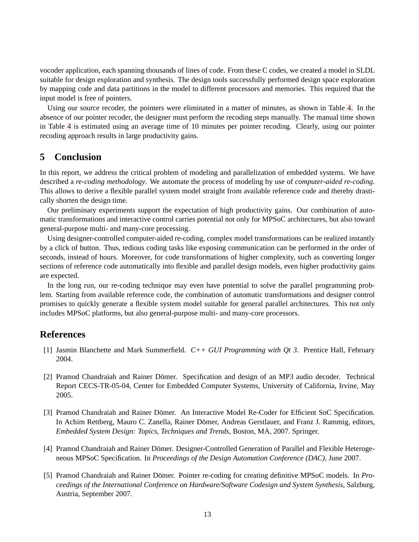vocoder application, each spanning thousands of lines of code. From these C codes, we created a model in SLDL suitable for design exploration and synthesis. The design tools successfully performed design space exploration by mapping code and data partitions in the model to different processors and memories. This required that the input model is free of pointers.

Using our source recoder, the pointers were eliminated in a matter of minutes, as shown in Table [4.](#page-16-3) In the absence of our pointer recoder, the designer must perform the recoding steps manually. The manual time shown in Table [4](#page-16-3) is estimated using an average time of 10 minutes per pointer recoding. Clearly, using our pointer recoding approach results in large productivity gains.

## <span id="page-17-0"></span>**5 Conclusion**

In this report, we address the critical problem of modeling and parallelization of embedded systems. We have described a *re-coding methodology*. We automate the process of modeling by use of *computer-aided re-coding*. This allows to derive a flexible parallel system model straight from available reference code and thereby drastically shorten the design time.

Our preliminary experiments support the expectation of high productivity gains. Our combination of automatic transformations and interactive control carries potential not only for MPSoC architectures, but also toward general-purpose multi- and many-core processing.

Using designer-controlled computer-aided re-coding, complex model transformations can be realized instantly by a click of button. Thus, tedious coding tasks like exposing communication can be performed in the order of seconds, instead of hours. Moreover, for code transformations of higher complexity, such as converting longer sections of reference code automatically into flexible and parallel design models, even higher productivity gains are expected.

In the long run, our re-coding technique may even have potential to solve the parallel programming problem. Starting from available reference code, the combination of automatic transformations and designer control promises to quickly generate a flexible system model suitable for general parallel architectures. This not only includes MPSoC platforms, but also general-purpose multi- and many-core processors.

## <span id="page-17-6"></span><span id="page-17-1"></span>**References**

- <span id="page-17-4"></span>[1] Jasmin Blanchette and Mark Summerfield. *C++ GUI Programming with Qt 3*. Prentice Hall, February 2004.
- [2] Pramod Chandraiah and Rainer Dömer. Specification and design of an MP3 audio decoder. Technical Report CECS-TR-05-04, Center for Embedded Computer Systems, University of California, Irvine, May 2005.
- <span id="page-17-2"></span>[3] Pramod Chandraiah and Rainer Dömer. An Interactive Model Re-Coder for Efficient SoC Specification. In Achim Rettberg, Mauro C. Zanella, Rainer Dömer, Andreas Gerstlauer, and Franz J. Rammig, editors, *Embedded System Design: Topics, Techniques and Trends*, Boston, MA, 2007. Springer.
- <span id="page-17-5"></span>[4] Pramod Chandraiah and Rainer Dömer. Designer-Controlled Generation of Parallel and Flexible Heterogeneous MPSoC Specification. In *Proceedings of the Design Automation Conference (DAC)*, June 2007.
- <span id="page-17-3"></span>[5] Pramod Chandraiah and Rainer Dömer. Pointer re-coding for creating definitive MPSoC models. In *Proceedings of the International Conference on Hardware/Software Codesign and System Synthesis*, Salzburg, Austria, September 2007.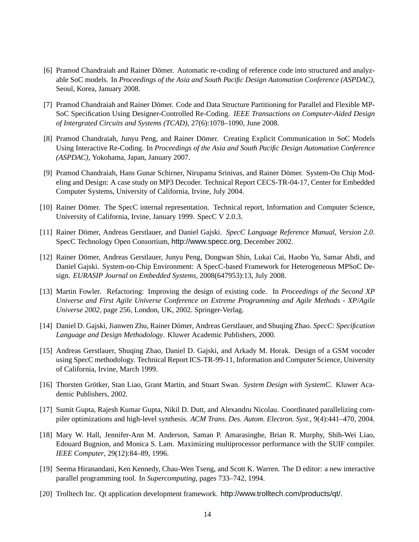- <span id="page-18-1"></span>[6] Pramod Chandraiah and Rainer Dömer. Automatic re-coding of reference code into structured and analyzable SoC models. In *Proceedings of the Asia and South Pacific Design Automation Conference (ASPDAC)*, Seoul, Korea, January 2008.
- <span id="page-18-2"></span>[7] Pramod Chandraiah and Rainer Dömer. Code and Data Structure Partitioning for Parallel and Flexible MP-SoC Specification Using Designer-Controlled Re-Coding. *IEEE Transactions on Computer-Aided Design of Intergrated Circuits and Systems (TCAD)*, 27(6):1078–1090, June 2008.
- <span id="page-18-0"></span>[8] Pramod Chandraiah, Junyu Peng, and Rainer Dömer. Creating Explicit Communication in SoC Models Using Interactive Re-Coding. In *Proceedings of the Asia and South Pacific Design Automation Conference (ASPDAC)*, Yokohama, Japan, January 2007.
- <span id="page-18-10"></span>[9] Pramod Chandraiah, Hans Gunar Schirner, Nirupama Srinivas, and Rainer Dömer. System-On Chip Modeling and Design: A case study on MP3 Decoder. Technical Report CECS-TR-04-17, Center for Embedded Computer Systems, University of California, Irvine, July 2004.
- <span id="page-18-14"></span>[10] Rainer Dömer. The SpecC internal representation. Technical report, Information and Computer Science, University of California, Irvine, January 1999. SpecC V 2.0.3.
- <span id="page-18-12"></span><span id="page-18-11"></span>[11] Rainer Domer, Andreas Gerstlauer, and Daniel Gajski. ¨ *SpecC Language Reference Manual, Version 2.0*. SpecC Technology Open Consortium, <http://www.specc.org>, December 2002.
- [12] Rainer Dömer, Andreas Gerstlauer, Junyu Peng, Dongwan Shin, Lukai Cai, Haobo Yu, Samar Abdi, and Daniel Gajski. System-on-Chip Environment: A SpecC-based Framework for Heterogeneous MPSoC Design. *EURASIP Journal on Embedded Systems*, 2008(647953):13, July 2008.
- <span id="page-18-6"></span>[13] Martin Fowler. Refactoring: Improving the design of existing code. In *Proceedings of the Second XP Universe and First Agile Universe Conference on Extreme Programming and Agile Methods - XP/Agile Universe 2002*, page 256, London, UK, 2002. Springer-Verlag.
- <span id="page-18-7"></span>[14] Daniel D. Gajski, Jianwen Zhu, Rainer Domer, Andreas Gerstlauer, and Shuqing Zhao. ¨ *SpecC: Specification Language and Design Methodology*. Kluwer Academic Publishers, 2000.
- <span id="page-18-8"></span>[15] Andreas Gerstlauer, Shuqing Zhao, Daniel D. Gajski, and Arkady M. Horak. Design of a GSM vocoder using SpecC methodology. Technical Report ICS-TR-99-11, Information and Computer Science, University of California, Irvine, March 1999.
- <span id="page-18-9"></span>[16] Thorsten Grötker, Stan Liao, Grant Martin, and Stuart Swan. System Design with SystemC. Kluwer Academic Publishers, 2002.
- <span id="page-18-4"></span><span id="page-18-3"></span>[17] Sumit Gupta, Rajesh Kumar Gupta, Nikil D. Dutt, and Alexandru Nicolau. Coordinated parallelizing compiler optimizations and high-level synthesis. *ACM Trans. Des. Autom. Electron. Syst.*, 9(4):441–470, 2004.
- [18] Mary W. Hall, Jennifer-Ann M. Anderson, Saman P. Amarasinghe, Brian R. Murphy, Shih-Wei Liao, Edouard Bugnion, and Monica S. Lam. Maximizing multiprocessor performance with the SUIF compiler. *IEEE Computer*, 29(12):84–89, 1996.
- <span id="page-18-13"></span><span id="page-18-5"></span>[19] Seema Hiranandani, Ken Kennedy, Chau-Wen Tseng, and Scott K. Warren. The D editor: a new interactive parallel programming tool. In *Supercomputing*, pages 733–742, 1994.
- [20] Trolltech Inc. Qt application development framework. <http://www.trolltech.com/products/qt/>.